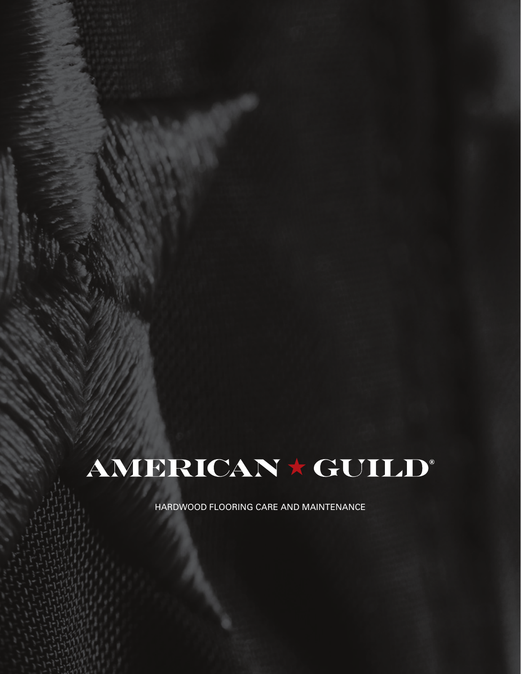# AMERICAN \* GUILD®

HARDWOOD FLOORING CARE AND MAINTENANCE